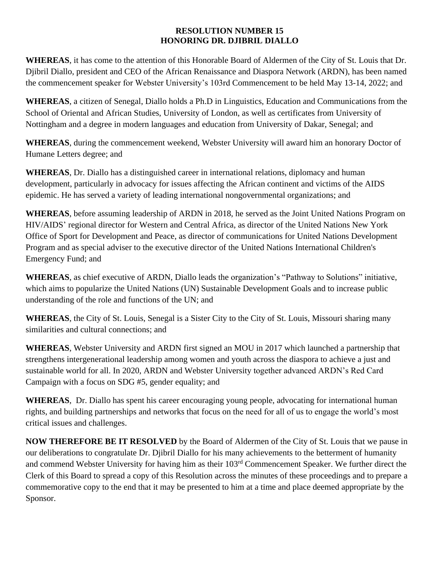## **RESOLUTION NUMBER 15 HONORING DR. DJIBRIL DIALLO**

**WHEREAS**, it has come to the attention of this Honorable Board of Aldermen of the City of St. Louis that Dr. Djibril Diallo, president and CEO of the African Renaissance and Diaspora Network (ARDN), has been named the commencement speaker for Webster University's 103rd Commencement to be held May 13-14, 2022; and

**WHEREAS**, a citizen of Senegal, Diallo holds a Ph.D in Linguistics, Education and Communications from the School of Oriental and African Studies, University of London, as well as certificates from University of Nottingham and a degree in modern languages and education from University of Dakar, Senegal; and

**WHEREAS**, during the commencement weekend, Webster University will award him an honorary Doctor of Humane Letters degree; and

**WHEREAS**, Dr. Diallo has a distinguished career in international relations, diplomacy and human development, particularly in advocacy for issues affecting the African continent and victims of the AIDS epidemic. He has served a variety of leading international nongovernmental organizations; and

**WHEREAS**, before assuming leadership of ARDN in 2018, he served as the Joint United Nations Program on HIV/AIDS' regional director for Western and Central Africa, as director of the United Nations New York Office of Sport for Development and Peace, as director of communications for United Nations Development Program and as special adviser to the executive director of the United Nations International Children's Emergency Fund; and

**WHEREAS**, as chief executive of ARDN, Diallo leads the organization's "Pathway to Solutions" initiative, which aims to popularize the United Nations (UN) Sustainable Development Goals and to increase public understanding of the role and functions of the UN; and

**WHEREAS**, the City of St. Louis, Senegal is a Sister City to the City of St. Louis, Missouri sharing many similarities and cultural connections; and

**WHEREAS**, Webster University and ARDN first signed an MOU in 2017 which launched a partnership that strengthens intergenerational leadership among women and youth across the diaspora to achieve a just and sustainable world for all. In 2020, ARDN and Webster University together advanced ARDN's Red Card Campaign with a focus on SDG #5, gender equality; and

**WHEREAS**, Dr. Diallo has spent his career encouraging young people, advocating for international human rights, and building partnerships and networks that focus on the need for all of us to engage the world's most critical issues and challenges.

**NOW THEREFORE BE IT RESOLVED** by the Board of Aldermen of the City of St. Louis that we pause in our deliberations to congratulate Dr. Djibril Diallo for his many achievements to the betterment of humanity and commend Webster University for having him as their 103rd Commencement Speaker. We further direct the Clerk of this Board to spread a copy of this Resolution across the minutes of these proceedings and to prepare a commemorative copy to the end that it may be presented to him at a time and place deemed appropriate by the Sponsor.